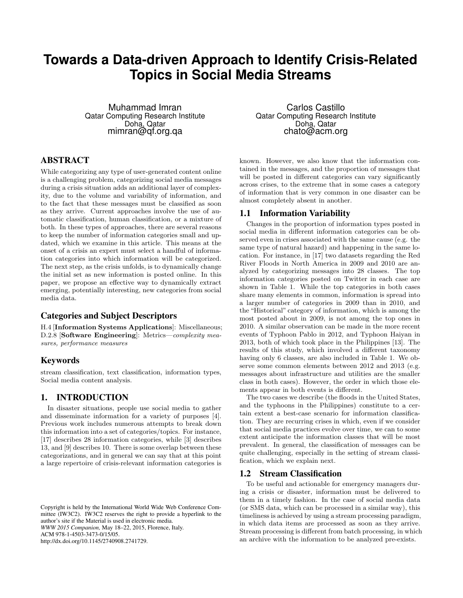# **Towards a Data-driven Approach to Identify Crisis-Related Topics in Social Media Streams**

Muhammad Imran Qatar Computing Research Institute Doha, Qatar mimran@qf.org.qa

## ABSTRACT

While categorizing any type of user-generated content online is a challenging problem, categorizing social media messages during a crisis situation adds an additional layer of complexity, due to the volume and variability of information, and to the fact that these messages must be classified as soon as they arrive. Current approaches involve the use of automatic classification, human classification, or a mixture of both. In these types of approaches, there are several reasons to keep the number of information categories small and updated, which we examine in this article. This means at the onset of a crisis an expert must select a handful of information categories into which information will be categorized. The next step, as the crisis unfolds, is to dynamically change the initial set as new information is posted online. In this paper, we propose an effective way to dynamically extract emerging, potentially interesting, new categories from social media data.

## Categories and Subject Descriptors

H.4 [Information Systems Applications]: Miscellaneous; D.2.8 [Software Engineering]: Metrics—complexity measures, performance measures

## Keywords

stream classification, text classification, information types, Social media content analysis.

## 1. INTRODUCTION

In disaster situations, people use social media to gather and disseminate information for a variety of purposes [4]. Previous work includes numerous attempts to break down this information into a set of categories/topics. For instance, [17] describes 28 information categories, while [3] describes 13, and [9] describes 10. There is some overlap between these categorizations, and in general we can say that at this point a large repertoire of crisis-relevant information categories is

Carlos Castillo Qatar Computing Research Institute Doha, Qatar chato@acm.org

known. However, we also know that the information contained in the messages, and the proportion of messages that will be posted in different categories can vary significantly across crises, to the extreme that in some cases a category of information that is very common in one disaster can be almost completely absent in another.

### 1.1 Information Variability

Changes in the proportion of information types posted in social media in different information categories can be observed even in crises associated with the same cause (e.g. the same type of natural hazard) and happening in the same location. For instance, in [17] two datasets regarding the Red River Floods in North America in 2009 and 2010 are analyzed by categorizing messages into 28 classes. The top information categories posted on Twitter in each case are shown in Table 1. While the top categories in both cases share many elements in common, information is spread into a larger number of categories in 2009 than in 2010, and the "Historical" category of information, which is among the most posted about in 2009, is not among the top ones in 2010. A similar observation can be made in the more recent events of Typhoon Pablo in 2012, and Typhoon Haiyan in 2013, both of which took place in the Philippines [13]. The results of this study, which involved a different taxonomy having only 6 classes, are also included in Table 1. We observe some common elements between 2012 and 2013 (e.g. messages about infrastructure and utilities are the smaller class in both cases). However, the order in which those elements appear in both events is different.

The two cases we describe (the floods in the United States, and the typhoons in the Philippines) constitute to a certain extent a best-case scenario for information classification. They are recurring crises in which, even if we consider that social media practices evolve over time, we can to some extent anticipate the information classes that will be most prevalent. In general, the classification of messages can be quite challenging, especially in the setting of stream classification, which we explain next.

#### 1.2 Stream Classification

To be useful and actionable for emergency managers during a crisis or disaster, information must be delivered to them in a timely fashion. In the case of social media data (or SMS data, which can be processed in a similar way), this timeliness is achieved by using a stream processing paradigm, in which data items are processed as soon as they arrive. Stream processing is different from batch processing, in which an archive with the information to be analyzed pre-exists.

Copyright is held by the International World Wide Web Conference Committee (IW3C2). IW3C2 reserves the right to provide a hyperlink to the author's site if the Material is used in electronic media. *WWW 2015 Companion,* May 18–22, 2015, Florence, Italy. ACM 978-1-4503-3473-0/15/05. http://dx.doi.org/10.1145/2740908.2741729.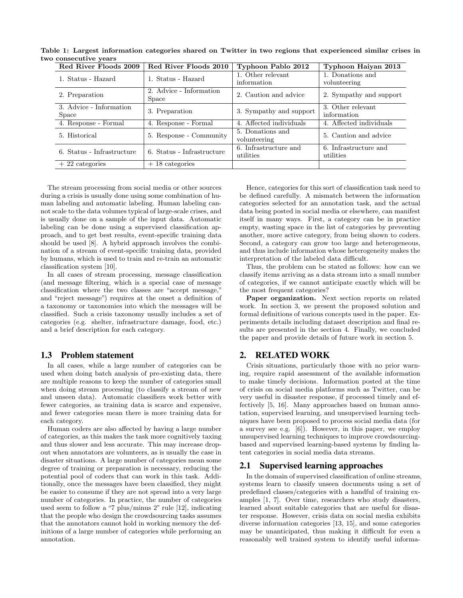| Red River Floods 2009            | Red River Floods 2010                   | Typhoon Pablo 2012                 | Typhoon Haiyan 2013                |
|----------------------------------|-----------------------------------------|------------------------------------|------------------------------------|
| 1. Status - Hazard               | 1. Status - Hazard                      | 1. Other relevant<br>information   | 1. Donations and<br>volunteering   |
| 2. Preparation                   | 2. Advice - Information<br><b>Space</b> | 2. Caution and advice              | 2. Sympathy and support            |
| 3. Advice - Information<br>Space | 3. Preparation                          | 3. Sympathy and support            | 3. Other relevant<br>information   |
| 4. Response - Formal             | 4. Response - Formal                    | 4. Affected individuals            | 4. Affected individuals            |
| 5. Historical                    | 5. Response - Community                 | 5. Donations and<br>volunteering   | 5. Caution and advice              |
| 6. Status - Infrastructure       | 6. Status - Infrastructure              | 6. Infrastructure and<br>utilities | 6. Infrastructure and<br>utilities |
| $+22$ categories                 | $+18$ categories                        |                                    |                                    |

Table 1: Largest information categories shared on Twitter in two regions that experienced similar crises in two consecutive years

The stream processing from social media or other sources during a crisis is usually done using some combination of human labeling and automatic labeling. Human labeling cannot scale to the data volumes typical of large-scale crises, and is usually done on a sample of the input data. Automatic labeling can be done using a supervised classification approach, and to get best results, event-specific training data should be used [8]. A hybrid approach involves the combination of a stream of event-specific training data, provided by humans, which is used to train and re-train an automatic classification system [10].

In all cases of stream processing, message classification (and message filtering, which is a special case of message classification where the two classes are "accept message," and "reject message") requires at the onset a definition of a taxonomy or taxonomies into which the messages will be classified. Such a crisis taxonomy usually includes a set of categories (e.g. shelter, infrastructure damage, food, etc.) and a brief description for each category.

### 1.3 Problem statement

In all cases, while a large number of categories can be used when doing batch analysis of pre-existing data, there are multiple reasons to keep the number of categories small when doing stream processing (to classify a stream of new and unseen data). Automatic classifiers work better with fewer categories, as training data is scarce and expensive, and fewer categories mean there is more training data for each category.

Human coders are also affected by having a large number of categories, as this makes the task more cognitively taxing and thus slower and less accurate. This may increase dropout when annotators are volunteers, as is usually the case in disaster situations. A large number of categories mean some degree of training or preparation is necessary, reducing the potential pool of coders that can work in this task. Additionally, once the messages have been classified, they might be easier to consume if they are not spread into a very large number of categories. In practice, the number of categories used seem to follow a "7 plus/minus 2" rule [12], indicating that the people who design the crowdsourcing tasks assumes that the annotators cannot hold in working memory the definitions of a large number of categories while performing an annotation.

Hence, categories for this sort of classification task need to be defined carefully. A mismatch between the information categories selected for an annotation task, and the actual data being posted in social media or elsewhere, can manifest itself in many ways. First, a category can be in practice empty, wasting space in the list of categories by preventing another, more active category, from being shown to coders. Second, a category can grow too large and heterogeneous, and thus include information whose heterogeneity makes the interpretation of the labeled data difficult.

Thus, the problem can be stated as follows: how can we classify items arriving as a data stream into a small number of categories, if we cannot anticipate exactly which will be the most frequent categories?

Paper organization. Next section reports on related work. In section 3, we present the proposed solution and formal definitions of various concepts used in the paper. Experiments details including dataset description and final results are presented in the section 4. Finally, we concluded the paper and provide details of future work in section 5.

## 2. RELATED WORK

Crisis situations, particularly those with no prior warning, require rapid assessment of the available information to make timely decisions. Information posted at the time of crisis on social media platforms such as Twitter, can be very useful in disaster response, if processed timely and effectively [5, 16]. Many approaches based on human annotation, supervised learning, and unsupervised learning techniques have been proposed to process social media data (for a survey see e.g. [6]). However, in this paper, we employ unsupervised learning techniques to improve crowdsourcingbased and supervised learning-based systems by finding latent categories in social media data streams.

#### 2.1 Supervised learning approaches

In the domain of supervised classification of online streams, systems learn to classify unseen documents using a set of predefined classes/categories with a handful of training examples [1, 7]. Over time, researchers who study disasters, learned about suitable categories that are useful for disaster response. However, crisis data on social media exhibits diverse information categories [13, 15], and some categories may be unanticipated, thus making it difficult for even a reasonably well trained system to identify useful informa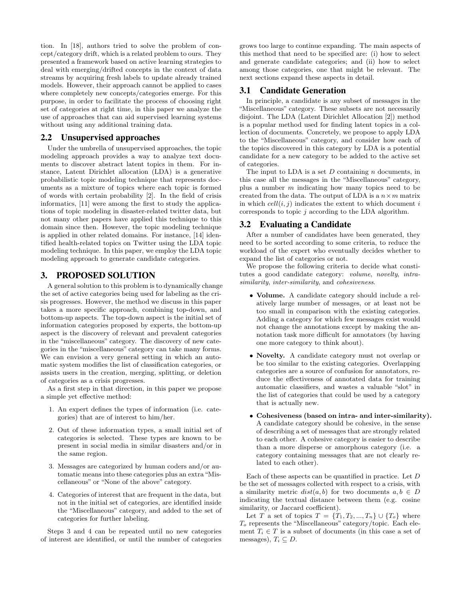tion. In [18], authors tried to solve the problem of concept/category drift, which is a related problem to ours. They presented a framework based on active learning strategies to deal with emerging/drifted concepts in the context of data streams by acquiring fresh labels to update already trained models. However, their approach cannot be applied to cases where completely new concepts/categories emerge. For this purpose, in order to facilitate the process of choosing right set of categories at right time, in this paper we analyze the use of approaches that can aid supervised learning systems without using any additional training data.

#### 2.2 Unsupervised approaches

Under the umbrella of unsupervised approaches, the topic modeling approach provides a way to analyze text documents to discover abstract latent topics in them. For instance, Latent Dirichlet allocation (LDA) is a generative probabilistic topic modeling technique that represents documents as a mixture of topics where each topic is formed of words with certain probability [2]. In the field of crisis informatics, [11] were among the first to study the applications of topic modeling in disaster-related twitter data, but not many other papers have applied this technique to this domain since then. However, the topic modeling technique is applied in other related domains. For instance, [14] identified health-related topics on Twitter using the LDA topic modeling technique. In this paper, we employ the LDA topic modeling approach to generate candidate categories.

## 3. PROPOSED SOLUTION

A general solution to this problem is to dynamically change the set of active categories being used for labeling as the crisis progresses. However, the method we discuss in this paper takes a more specific approach, combining top-down, and bottom-up aspects. The top-down aspect is the initial set of information categories proposed by experts, the bottom-up aspect is the discovery of relevant and prevalent categories in the "miscellaneous" category. The discovery of new categories in the "miscellaneous" category can take many forms. We can envision a very general setting in which an automatic system modifies the list of classification categories, or assists users in the creation, merging, splitting, or deletion of categories as a crisis progresses.

As a first step in that direction, in this paper we propose a simple yet effective method:

- 1. An expert defines the types of information (i.e. categories) that are of interest to him/her.
- 2. Out of these information types, a small initial set of categories is selected. These types are known to be present in social media in similar disasters and/or in the same region.
- 3. Messages are categorized by human coders and/or automatic means into these categories plus an extra "Miscellaneous" or "None of the above" category.
- 4. Categories of interest that are frequent in the data, but not in the initial set of categories, are identified inside the "Miscellaneous" category, and added to the set of categories for further labeling.

Steps 3 and 4 can be repeated until no new categories of interest are identified, or until the number of categories

grows too large to continue expanding. The main aspects of this method that need to be specified are: (i) how to select and generate candidate categories; and (ii) how to select among those categories, one that might be relevant. The next sections expand these aspects in detail.

#### 3.1 Candidate Generation

In principle, a candidate is any subset of messages in the "Miscellaneous" category. These subsets are not necessarily disjoint. The LDA (Latent Dirichlet Allocation [2]) method is a popular method used for finding latent topics in a collection of documents. Concretely, we propose to apply LDA to the "Miscellaneous" category, and consider how each of the topics discovered in this category by LDA is a potential candidate for a new category to be added to the active set of categories.

The input to LDA is a set  $D$  containing  $n$  documents, in this case all the messages in the "Miscellaneous" category, plus a number m indicating how many topics need to be created from the data. The output of LDA is a  $n \times m$  matrix in which  $cell(i, j)$  indicates the extent to which document i corresponds to topic  $j$  according to the LDA algorithm.

#### 3.2 Evaluating a Candidate

After a number of candidates have been generated, they need to be sorted according to some criteria, to reduce the workload of the expert who eventually decides whether to expand the list of categories or not.

We propose the following criteria to decide what constitutes a good candidate category: volume, novelty, intrasimilarity, inter-similarity, and cohesiveness.

- Volume. A candidate category should include a relatively large number of messages, or at least not be too small in comparison with the existing categories. Adding a category for which few messages exist would not change the annotations except by making the annotation task more difficult for annotators (by having one more category to think about).
- Novelty. A candidate category must not overlap or be too similar to the existing categories. Overlapping categories are a source of confusion for annotators, reduce the effectiveness of annotated data for training automatic classifiers, and wastes a valuable "slot" in the list of categories that could be used by a category that is actually new.
- Cohesiveness (based on intra- and inter-similarity). A candidate category should be cohesive, in the sense of describing a set of messages that are strongly related to each other. A cohesive category is easier to describe than a more disperse or amorphous category (i.e. a category containing messages that are not clearly related to each other).

Each of these aspects can be quantified in practice. Let D be the set of messages collected with respect to a crisis, with a similarity metric  $dist(a, b)$  for two documents  $a, b \in D$ indicating the textual distance between them (e.g. cosine similarity, or Jaccard coefficient).

Let T a set of topics  $T = \{T_1, T_2, ..., T_n\} \cup \{T_0\}$  where  $T<sub>o</sub>$  represents the "Miscellaneous" category/topic. Each element  $T_i \in T$  is a subset of documents (in this case a set of messages),  $T_i \subseteq D$ .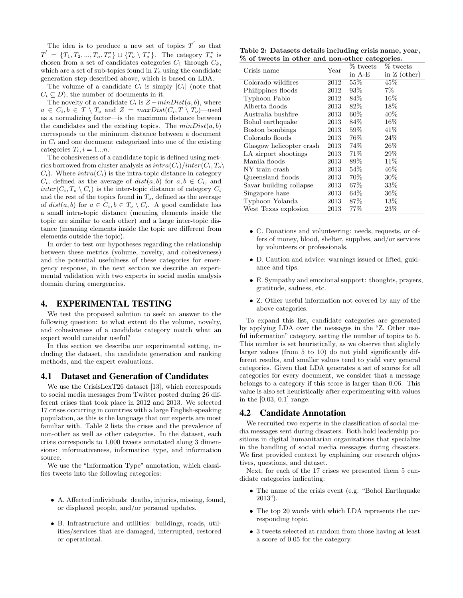The idea is to produce a new set of topics  $T'$  so that  $T^{'} = \{T_1, T_2, ..., T_n, T_o^*\} \cup \{T_o \setminus T_o^*\}.$  The category  $T_o^*$  is chosen from a set of candidates categories  $C_1$  through  $C_k$ , which are a set of sub-topics found in  $T<sub>o</sub>$  using the candidate generation step described above, which is based on LDA.

The volume of a candidate  $C_i$  is simply  $|C_i|$  (note that  $C_i \subseteq D$ , the number of documents in it.

The novelty of a candidate  $C_i$  is  $Z - minDist(a, b)$ , where  $a \in C_i, b \in T \setminus T_o$  and  $Z = maxDist(C_i, T \setminus T_o)$ —used as a normalizing factor—is the maximum distance between the candidates and the existing topics. The  $minDist(a, b)$ corresponds to the minimum distance between a document in  $C_i$  and one document categorized into one of the existing categories  $T_i$ ,  $i = 1...n$ .

The cohesiveness of a candidate topic is defined using metrics borrowed from cluster analysis as  $intra(C_i)/inter(C_i, T_o\setminus$  $C_i$ ). Where  $intra(C_i)$  is the intra-topic distance in category  $C_i$ , defined as the average of  $dist(a, b)$  for  $a, b \in C_i$ , and  $inter(C_i, T_o \setminus C_i)$  is the inter-topic distance of category  $C_i$ and the rest of the topics found in  $T<sub>o</sub>$ , defined as the average of  $dist(a, b)$  for  $a \in C_i, b \in T_o \setminus C_i$ . A good candidate has a small intra-topic distance (meaning elements inside the topic are similar to each other) and a large inter-topic distance (meaning elements inside the topic are different from elements outside the topic).

In order to test our hypotheses regarding the relationship between these metrics (volume, novelty, and cohesiveness) and the potential usefulness of these categories for emergency response, in the next section we describe an experimental validation with two experts in social media analysis domain during emergencies.

#### 4. EXPERIMENTAL TESTING

We test the proposed solution to seek an answer to the following question: to what extent do the volume, novelty, and cohesiveness of a candidate category match what an expert would consider useful?

In this section we describe our experimental setting, including the dataset, the candidate generation and ranking methods, and the expert evaluations.

#### 4.1 Dataset and Generation of Candidates

We use the CrisisLexT26 dataset [13], which corresponds to social media messages from Twitter posted during 26 different crises that took place in 2012 and 2013. We selected 17 crises occurring in countries with a large English-speaking population, as this is the language that our experts are most familiar with. Table 2 lists the crises and the prevalence of non-other as well as other categories. In the dataset, each crisis corresponds to 1,000 tweets annotated along 3 dimensions: informativeness, information type, and information source.

We use the "Information Type" annotation, which classifies tweets into the following categories:

- A. Affected individuals: deaths, injuries, missing, found, or displaced people, and/or personal updates.
- B. Infrastructure and utilities: buildings, roads, utilities/services that are damaged, interrupted, restored or operational.

Table 2: Datasets details including crisis name, year, % of tweets in other and non-other categories.

| Crisis name              | Year | % tweets | % tweets       |
|--------------------------|------|----------|----------------|
|                          |      | in A-E   | in $Z$ (other) |
| Colorado wildfires       | 2012 | 55%      | 45%            |
| Philippines floods       | 2012 | 93%      | $7\%$          |
| Typhoon Pablo            | 2012 | 84%      | $16\%$         |
| Alberta floods           | 2013 | $82\%$   | 18%            |
| Australia bushfire       | 2013 | $60\%$   | 40%            |
| Bohol earthquake         | 2013 | 84%      | 16%            |
| Boston bombings          | 2013 | $59\%$   | 41%            |
| Colorado floods          | 2013 | 76%      | 24%            |
| Glasgow helicopter crash | 2013 | 74%      | 26%            |
| LA airport shootings     | 2013 | 71\%     | 29%            |
| Manila floods            | 2013 | 89%      | 11%            |
| NY train crash           | 2013 | 54%      | $46\%$         |
| Queensland floods        | 2013 | 70%      | $30\%$         |
| Savar building collapse  | 2013 | $67\%$   | $33\%$         |
| Singapore haze           | 2013 | $64\%$   | $36\%$         |
| Typhoon Yolanda          | 2013 | 87%      | 13%            |
| West Texas explosion     | 2013 | $77\%$   | 23\%           |

- C. Donations and volunteering: needs, requests, or offers of money, blood, shelter, supplies, and/or services by volunteers or professionals.
- D. Caution and advice: warnings issued or lifted, guidance and tips.
- E. Sympathy and emotional support: thoughts, prayers, gratitude, sadness, etc.
- Z. Other useful information not covered by any of the above categories.

To expand this list, candidate categories are generated by applying LDA over the messages in the "Z. Other useful information" category, setting the number of topics to 5. This number is set heuristically, as we observe that slightly larger values (from 5 to 10) do not yield significantly different results, and smaller values tend to yield very general categories. Given that LDA generates a set of scores for all categories for every document, we consider that a message belongs to a category if this score is larger than 0.06. This value is also set heuristically after experimenting with values in the [0.03, 0.1] range.

#### 4.2 Candidate Annotation

We recruited two experts in the classification of social media messages sent during disasters. Both hold leadership positions in digital humanitarian organizations that specialize in the handling of social media messages during disasters. We first provided context by explaining our research objectives, questions, and dataset.

Next, for each of the 17 crises we presented them 5 candidate categories indicating:

- The name of the crisis event (e.g. "Bohol Earthquake" 2013").
- The top 20 words with which LDA represents the corresponding topic.
- 3 tweets selected at random from those having at least a score of 0.05 for the category.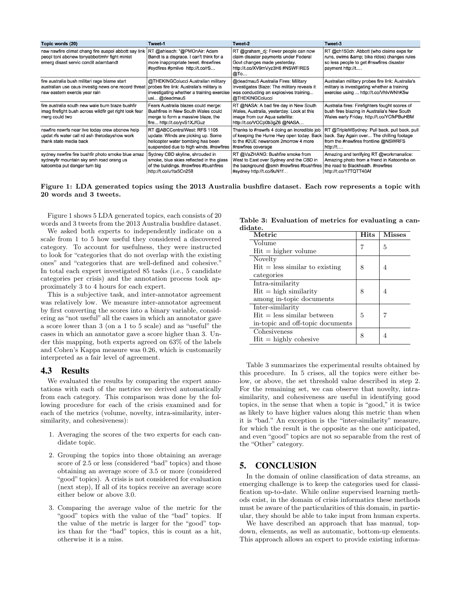| Topic words (20)                                                                                                                                                                | Tweet-1                                                                                                                                             | Tweet-2                                                                                                                                                 | Tweet-3                                                                                                                                               |
|---------------------------------------------------------------------------------------------------------------------------------------------------------------------------------|-----------------------------------------------------------------------------------------------------------------------------------------------------|---------------------------------------------------------------------------------------------------------------------------------------------------------|-------------------------------------------------------------------------------------------------------------------------------------------------------|
| nsw nswfire climat chang fire auspol abbott say link<br>peopl toni abcnew tonyabbottmhr fight minist<br>emerg disast servic condit adambandt                                    | RT @ahleach: "@PMOnAir: Adam<br>Bandt is a disgrace. I can't think for a<br>more inappropriate tweet. #nswfires<br>#sydfires #pmlive http://t.co/rS | RT @graham dj: Fewer people can now<br>claim disaster payments under Federal<br>Govt changes made yesterday.<br>http://t.co/XV9mVyz3H6 #NSWFIRES<br>@To | RT @ch150ch: Abbott (who claims exps for<br>runs, swims & bike rides) changes rules<br>so less people to get #nswfires disaster<br>payment http://t   |
| fire australia bush militari rage blame start<br>australian use caus investig news one record threat probes fire link: Australia's military is<br>nsw eastern exercis year rain | @THEKINGColucci Australian military<br>investigating whether a training exercise<br>usi @deadmau5                                                   | @deadmau5 Australia Fires: Military<br>Investigates Blaze: The military reveals it<br>was conducting an explosives training<br>@THEKINGColucci          | Australian military probes fire link: Australia's<br>military is investigating whether a training<br>exercise using  http://t.co/VhIvWNhK5w           |
| fire australia south new wale burn blaze bushfir<br>imag firefight bush across wildfir get right look fear<br>merg could two                                                    | Fears Australia blazes could merge:<br>Bushfires in New South Wales could<br>merge to form a massive blaze, the<br>fire http://t.co/yvS1XJfGuz      | RT @NASA: A bad fire day in New South<br>Wales, Australia, yesterday. Look at this<br>image from our Aqua satellite:<br>http://t.co/VOCp0b3gZ6 @NASA    | Australia fires: Firefighters fought scores of<br>bush fires blazing in Australia's New South<br>Wales early Friday. http://t.co/YCfkPBuHBM           |
| nswfire nswrfs near live today crew abcnew help<br>updat rfs water call rd ash thetodayshow work<br>thank state media back                                                      | RT @ABCCentralWest: RFS 1105<br>update: Winds are picking up. Some<br>helicopter water bombing has been<br>suspended due to high winds. #nswfires   | Thanks to #nswrfs 4 doing an incredible job<br>of keeping the Hume Hwy open today. Back<br>to the #2UE newsroom 2morrow 4 more<br>#nswfires coverage    | RT @TripleMSydney: Pull back, pull back, pull<br>back. Say Again over The chilling footage<br>from the #nswfires frontline @NSWRFS<br>http://t        |
| sydney nswfire fire bushfir photo smoke blue amaz<br>sydneyfir mountain sky smh road orang us<br>katoomba put danger turn big                                                   | Sydney CBD skyline, shrouded in<br>smoke, blue skies reflected in the glass<br>of the buildings. #nswfires #bushfires<br>http://t.co/u1ta5Cn258     | RT @VaZHANG: Bushfire smoke from<br>West to East over Sydney and the CBD in<br>the background @smh #nswfires #bushfires<br>#sydney http://t.co/9uN1f    | Amazing and terrifying RT @workmanalice:<br>Amazing photo from a friend in Katoomba on<br>the road to Blackheath. #nswfires<br>http://t.co/17TQTT40Af |

Figure 1: LDA generated topics using the 2013 Australia bushfire dataset. Each row represents a topic with 20 words and 3 tweets.

Figure 1 shows 5 LDA generated topics, each consists of 20 words and 3 tweets from the 2013 Australia bushfire dataset.

We asked both experts to independently indicate on a scale from 1 to 5 how useful they considered a discovered category. To account for usefulness, they were instructed to look for "categories that do not overlap with the existing ones" and "categories that are well-defined and cohesive." In total each expert investigated 85 tasks (i.e., 5 candidate categories per crisis) and the annotation process took approximately 3 to 4 hours for each expert.

This is a subjective task, and inter-annotator agreement was relatively low. We measure inter-annotator agreement by first converting the scores into a binary variable, considering as "not useful" all the cases in which an annotator gave a score lower than 3 (on a 1 to 5 scale) and as "useful" the cases in which an annotator gave a score higher than 3. Under this mapping, both experts agreed on 63% of the labels and Cohen's Kappa measure was 0.26, which is customarily interpreted as a fair level of agreement.

#### 4.3 Results

We evaluated the results by comparing the expert annotations with each of the metrics we derived automatically from each category. This comparison was done by the following procedure for each of the crisis examined and for each of the metrics (volume, novelty, intra-similarity, intersimilarity, and cohesiveness):

- 1. Averaging the scores of the two experts for each candidate topic.
- 2. Grouping the topics into those obtaining an average score of 2.5 or less (considered "bad" topics) and those obtaining an average score of 3.5 or more (considered "good" topics). A crisis is not considered for evaluation (next step), If all of its topics receive an average score either below or above 3.0.
- 3. Comparing the average value of the metric for the "good" topics with the value of the "bad" topics. If the value of the metric is larger for the "good" topics than for the "bad" topics, this is count as a hit, otherwise it is a miss.

Table 3: Evaluation of metrics for evaluating a candidate.

| Metric                           | Hits | <b>Misses</b> |
|----------------------------------|------|---------------|
| Volume                           |      | 5             |
| $Hit = higher volume$            |      |               |
| Novelty                          |      |               |
| $Hit = less similar to existing$ | 8    | 4             |
| categories                       |      |               |
| Intra-similarity                 |      |               |
| $Hit = high similarity$          | 8    | 4             |
| among in-topic documents         |      |               |
| Inter-similarity                 |      |               |
| $Hit = less similar between$     | 5    | 7             |
| in-topic and off-topic documents |      |               |
| Cohesiveness                     | 8    |               |
| $Hit = highly cohesive$          |      | 4             |

Table 3 summarizes the experimental results obtained by this procedure. In 5 crises, all the topics were either below, or above, the set threshold value described in step 2. For the remaining set, we can observe that novelty, intrasimilarity, and cohesiveness are useful in identifying good topics, in the sense that when a topic is "good," it is twice as likely to have higher values along this metric than when it is "bad." An exception is the "inter-similarity" measure, for which the result is the opposite as the one anticipated, and even "good" topics are not so separable from the rest of the "Other" category.

## 5. CONCLUSION

In the domain of online classification of data streams, an emerging challenge is to keep the categories used for classification up-to-date. While online supervised learning methods exist, in the domain of crisis informatics these methods must be aware of the particularities of this domain, in particular, they should be able to take input from human experts.

We have described an approach that has manual, topdown, elements, as well as automatic, bottom-up elements. This approach allows an expert to provide existing informa